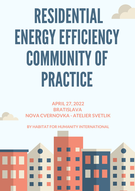# RESIDENTIAL ENERGYEFFICIENCY COMMUNITYOF PRACTICE

**APRIL 27, 2022 BRATISLAVA NOVA CVERNOVKA - ATELIER SVETLIK**

**BY HABITAT FOR HUMANITY INTERNATIONAL**

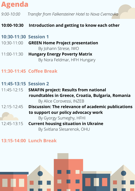# **Agenda**

*9:00-10:00 Transfer from Falkensteiner Hotel to Nova Cvernovka*

# **10:00-10:30 Introduction and getting to know each other**

# **10:30-11:30 Session 1**

- 10:30-11:00 **[GREEN Home](https://nam10.safelinks.protection.outlook.com/?url=https%3A%2F%2Fwww.green-home.org%2Fen%2F&data=05%7C01%7CGSumeghy%40habitat.org%7Cb39c01e27abf48f20c3c08da23998bbe%7Cf8b64cf5161745898e02d3a56ee0792a%7C0%7C0%7C637861439633150131%7CUnknown%7CTWFpbGZsb3d8eyJWIjoiMC4wLjAwMDAiLCJQIjoiV2luMzIiLCJBTiI6Ik1haWwiLCJXVCI6Mn0%3D%7C3000%7C%7C%7C&sdata=ixymQaOTLs7JaMOUI%2FeVBLPhGfL5vDu23eT3BRPyPG4%3D&reserved=0) Project presentation** By Johann Strese, IWO
- 11:00-11:30 **Hungary Energy Poverty Matrix**  By Nora Feldmar, HFH Hungary

# **11:30-11:45 Coffee Break**

#### **11:45-13:15 Session 2**

- 11:45-12:15 **SMAFIN project: Results from national roundtables in Greece, Croatia, Bulgaria, Romania** By Alice Corovessi, INZEB
- 12:15-12:45 **Discussion: The relevance of academic publications to support our policy advocacy work**

By Gyorgy Sumeghy, HFHI

12:45-13:15 **Current housing situation in Ukraine** By Svitlana Slesarenok, OHU

# **13:15-14:00 Lunch Break**